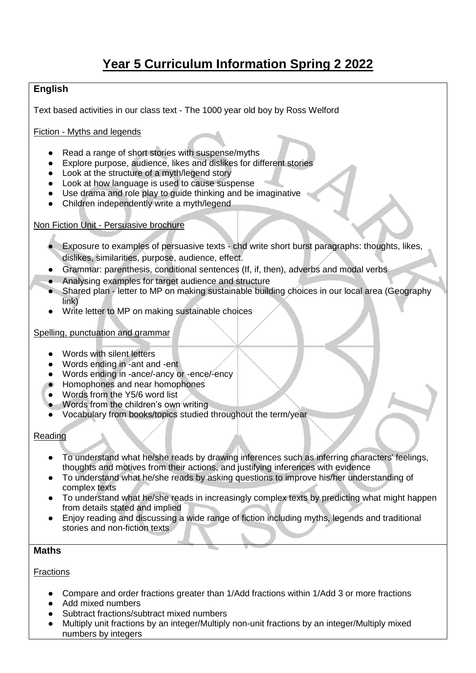# **Year 5 Curriculum Information Spring 2 2022**

## **English**

Text based activities in our class text - The 1000 year old boy by Ross Welford

Fiction - Myths and legends

- Read a range of short stories with suspense/myths
- Explore purpose, audience, likes and dislikes for different stories
- Look at the structure of a myth/legend story
- Look at how language is used to cause suspense
- Use drama and role play to guide thinking and be imaginative
- Children independently write a myth/legend

#### Non Fiction Unit - Persuasive brochure

- Exposure to examples of persuasive texts chd write short burst paragraphs: thoughts, likes, dislikes, similarities, purpose, audience, effect.
- Grammar: parenthesis, conditional sentences (If, if, then), adverbs and modal verbs
- Analysing examples for target audience and structure
- Shared plan letter to MP on making sustainable building choices in our local area (Geography link)
- Write letter to MP on making sustainable choices

#### Spelling, punctuation and grammar

- Words with silent letters
- Words ending in -ant and -ent
- Words ending in -ance/-ancy or -ence/-ency
- Homophones and near homophones
- Words from the Y5/6 word list
- Words from the children's own writing
- Vocabulary from books/topics studied throughout the term/year.

#### Reading

- To understand what he/she reads by drawing inferences such as inferring characters' feelings, thoughts and motives from their actions, and justifying inferences with evidence
- To understand what he/she reads by asking questions to improve his/her understanding of complex texts
- To understand what he/she reads in increasingly complex texts by predicting what might happen from details stated and implied
- Enjoy reading and discussing a wide range of fiction including myths, legends and traditional stories and non-fiction texts

## **Maths**

#### **Fractions**

- Compare and order fractions greater than 1/Add fractions within 1/Add 3 or more fractions
- Add mixed numbers
- Subtract fractions/subtract mixed numbers
- Multiply unit fractions by an integer/Multiply non-unit fractions by an integer/Multiply mixed numbers by integers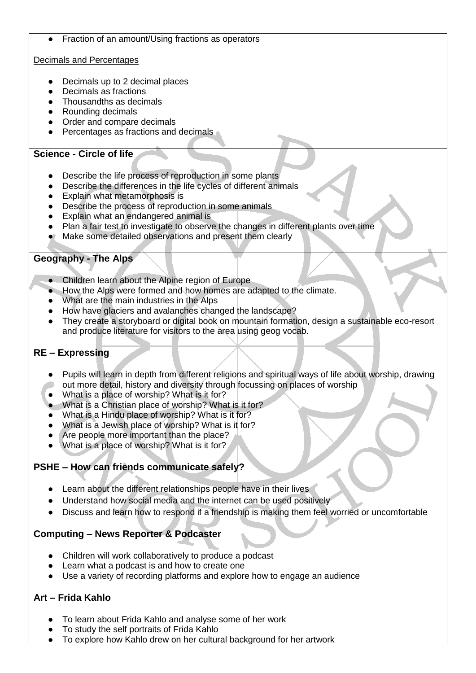Fraction of an amount/Using fractions as operators

## Decimals and Percentages

- Decimals up to 2 decimal places
- Decimals as fractions
- Thousandths as decimals
- Rounding decimals
- Order and compare decimals
- Percentages as fractions and decimals

# **Science - Circle of life**

- Describe the life process of reproduction in some plants
- Describe the differences in the life cycles of different animals
- Explain what metamorphosis is<br>● Describe the process of reprodu
- Describe the process of reproduction in some animals
- Explain what an endangered animal is
- Plan a fair test to investigate to observe the changes in different plants over time
- Make some detailed observations and present them clearly

# **Geography - The Alps**

- Children learn about the Alpine region of Europe
- How the Alps were formed and how homes are adapted to the climate.
- What are the main industries in the Alps
- How have glaciers and avalanches changed the landscape?
- They create a storyboard or digital book on mountain formation, design a sustainable eco-resort and produce literature for visitors to the area using geog vocab.

# **RE – Expressing**

- Pupils will learn in depth from different religions and spiritual ways of life about worship, drawing out more detail, history and diversity through focussing on places of worship
- What is a place of worship? What is it for?
- What is a Christian place of worship? What is it for?
- What is a Hindu place of worship? What is it for?
- What is a Jewish place of worship? What is it for?
- Are people more important than the place?
- What is a place of worship? What is it for?

## **PSHE – How can friends communicate safely?**

- Learn about the different relationships people have in their lives
- Understand how social media and the internet can be used positively
- Discuss and learn how to respond if a friendship is making them feel worried or uncomfortable

# **Computing – News Reporter & Podcaster**

- Children will work collaboratively to produce a podcast
- Learn what a podcast is and how to create one
- Use a variety of recording platforms and explore how to engage an audience

# **Art – Frida Kahlo**

- To learn about Frida Kahlo and analyse some of her work
- To study the self portraits of Frida Kahlo
- To explore how Kahlo drew on her cultural background for her artwork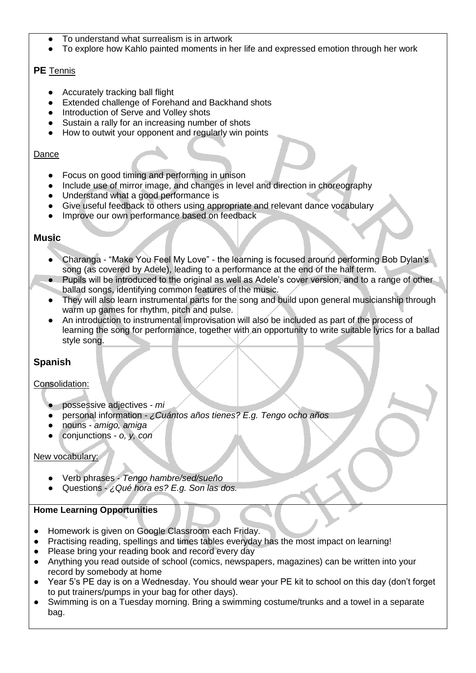- To understand what surrealism is in artwork
- To explore how Kahlo painted moments in her life and expressed emotion through her work

## **PE** Tennis

- Accurately tracking ball flight
- Extended challenge of Forehand and Backhand shots
- Introduction of Serve and Volley shots
- Sustain a rally for an increasing number of shots
- How to outwit your opponent and regularly win points

#### Dance

- Focus on good timing and performing in unison
- Include use of mirror image, and changes in level and direction in choreography
- Understand what a good performance is
- Give useful feedback to others using appropriate and relevant dance vocabulary
- Improve our own performance based on feedback

## **Music**

- Charanga "Make You Feel My Love" the learning is focused around performing Bob Dylan's song (as covered by Adele), leading to a performance at the end of the half term.
- Pupils will be introduced to the original as well as Adele's cover version, and to a range of other ballad songs, identifying common features of the music.
- They will also learn instrumental parts for the song and build upon general musicianship through warm up games for rhythm, pitch and pulse.
- An introduction to instrumental improvisation will also be included as part of the process of learning the song for performance, together with an opportunity to write suitable lyrics for a ballad style song.

# **Spanish**

## Consolidation:

- possessive adjectives *mi*
- personal information *- ¿Cuántos años tienes? E.g. Tengo ocho años*
- nouns *amigo, amiga*
- conjunctions *o, y, con*

#### New vocabulary:

- Verb phrases *Tengo hambre/sed/sueño*
- Questions *¿Qué hora es? E.g. Son las dos.*

## **Home Learning Opportunities**

- Homework is given on Google Classroom each Friday.
- Practising reading, spellings and times tables everyday has the most impact on learning!
- Please bring your reading book and record every day
- Anything you read outside of school (comics, newspapers, magazines) can be written into your record by somebody at home
- Year 5's PE day is on a Wednesday. You should wear your PE kit to school on this day (don't forget to put trainers/pumps in your bag for other days).
- Swimming is on a Tuesday morning. Bring a swimming costume/trunks and a towel in a separate bag.